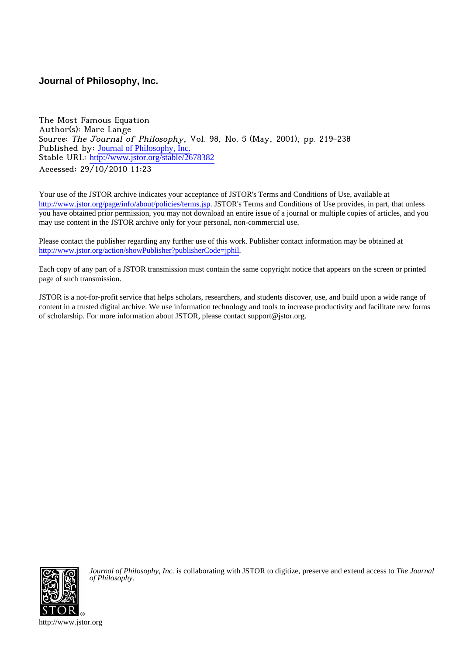# **Journal of Philosophy, Inc.**

The Most Famous Equation Author(s): Marc Lange Source: The Journal of Philosophy, Vol. 98, No. 5 (May, 2001), pp. 219-238 Published by: [Journal of Philosophy, Inc.](http://www.jstor.org/action/showPublisher?publisherCode=jphil) Stable URL: [http://www.jstor.org/stable/2678382](http://www.jstor.org/stable/2678382?origin=JSTOR-pdf) Accessed: 29/10/2010 11:23

Your use of the JSTOR archive indicates your acceptance of JSTOR's Terms and Conditions of Use, available at <http://www.jstor.org/page/info/about/policies/terms.jsp>. JSTOR's Terms and Conditions of Use provides, in part, that unless you have obtained prior permission, you may not download an entire issue of a journal or multiple copies of articles, and you may use content in the JSTOR archive only for your personal, non-commercial use.

Please contact the publisher regarding any further use of this work. Publisher contact information may be obtained at <http://www.jstor.org/action/showPublisher?publisherCode=jphil>.

Each copy of any part of a JSTOR transmission must contain the same copyright notice that appears on the screen or printed page of such transmission.

JSTOR is a not-for-profit service that helps scholars, researchers, and students discover, use, and build upon a wide range of content in a trusted digital archive. We use information technology and tools to increase productivity and facilitate new forms of scholarship. For more information about JSTOR, please contact support@jstor.org.



*Journal of Philosophy, Inc.* is collaborating with JSTOR to digitize, preserve and extend access to *The Journal of Philosophy.*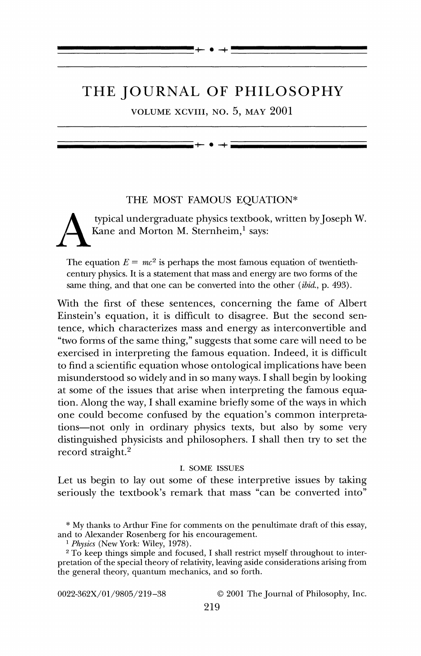# **THE JOURNAL OF PHILOSOPHY**

**\_- 0 -+** 

**VOLUME XCVIII, NO. 5, MAY 2001** 

**-4- 0 -+** 

### **THE MOST FAMOUS EQUATION\***

**typical undergraduate physics textbook, written byJoseph W. <sup>A</sup>Kane and Morton M. Sternheim,' says:** 

The equation  $E = mc^2$  is perhaps the most famous equation of twentieth**century physics. It is a statement that mass and energy are two forms of the**  same thing, and that one can be converted into the other *(ibid., p. 493).* 

**With the first of these sentences, concerning the fame of Albert Einstein's equation, it is difficult to disagree. But the second sentence, which characterizes mass and energy as interconvertible and "two forms of the same thing," suggests that some care will need to be exercised in interpreting the famous equation. Indeed, it is difficult to find a scientific equation whose ontological implications have been misunderstood so widely and in so many ways. I shall begin by looking at some of the issues that arise when interpreting the famous equation. Along the way, I shall examine briefly some of the ways in which one could become confused by the equation's common interpretations-not only in ordinary physics texts, but also by some very distinguished physicists and philosophers. I shall then try to set the record straight.2** 

#### **I. SOME ISSUES**

**Let us begin to lay out some of these interpretive issues by taking seriously the textbook's remark that mass "can be converted into"** 

**0022-362X/01/9805/219-38 ? 2001 The Journal of Philosophy, Inc.** 

**<sup>\*</sup> My thanks to Arthur Fine for comments on the penultimate draft of this essay, and to Alexander Rosenberg for his encouragement.** 

**<sup>1</sup> Physics (New York: Wiley, 1978).** 

**<sup>2</sup> To keep things simple and focused, I shall restrict myself throughout to interpretation of the special theory of relativity, leaving aside considerations arising from the general theory, quantum mechanics, and so forth.**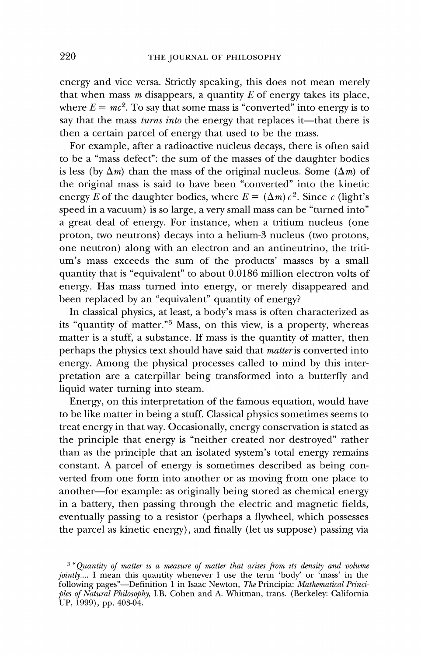**energy and vice versa. Strictly speaking, this does not mean merely that when mass m disappears, a quantity E of energy takes its place,**  where  $E = mc^2$ . To say that some mass is "converted" into energy is to say that the mass *turns into* the energy that replaces it—that there is **then a certain parcel of energy that used to be the mass.** 

**For example, after a radioactive nucleus decays, there is often said to be a "mass defect": the sum of the masses of the daughter bodies**  is less (by  $\Delta m$ ) than the mass of the original nucleus. Some  $(\Delta m)$  of **the original mass is said to have been "converted" into the kinetic**  energy E of the daughter bodies, where  $E = (\Delta m) c^2$ . Since c (light's **speed in a vacuum) is so large, a very small mass can be "turned into" a great deal of energy. For instance, when a tritium nucleus (one proton, two neutrons) decays into a helium-3 nucleus (two protons, one neutron) along with an electron and an antineutrino, the tritium's mass exceeds the sum of the products' masses by a small quantity that is "equivalent" to about 0.0186 million electron volts of energy. Has mass turned into energy, or merely disappeared and been replaced by an "equivalent" quantity of energy?** 

**In classical physics, at least, a body's mass is often characterized as its "quantity of matter."3 Mass, on this view, is a property, whereas matter is a stuff, a substance. If mass is the quantity of matter, then perhaps the physics text should have said that matter is converted into energy. Among the physical processes called to mind by this interpretation are a caterpillar being transformed into a butterfly and liquid water turning into steam.** 

**Energy, on this interpretation of the famous equation, would have to be like matter in being a stuff. Classical physics sometimes seems to treat energy in that way. Occasionally, energy conservation is stated as the principle that energy is "neither created nor destroyed" rather than as the principle that an isolated system's total energy remains constant. A parcel of energy is sometimes described as being converted from one form into another or as moving from one place to another-for example: as originally being stored as chemical energy in a battery, then passing through the electric and magnetic fields, eventually passing to a resistor (perhaps a flywheel, which possesses the parcel as kinetic energy), and finally (let us suppose) passing via** 

**<sup>3&</sup>quot;Quantity of matter is a measure of matter that arises from its density and volume jointly.... I mean this quantity whenever I use the term 'body' or 'mass' in the following pages"-Definition 1 in Isaac Newton, The Principia: Mathematical Principles of Natural Philosophy, I.B. Cohen and A. Whitman, trans. (Berkeley: California UP, 1999), pp. 403-04.**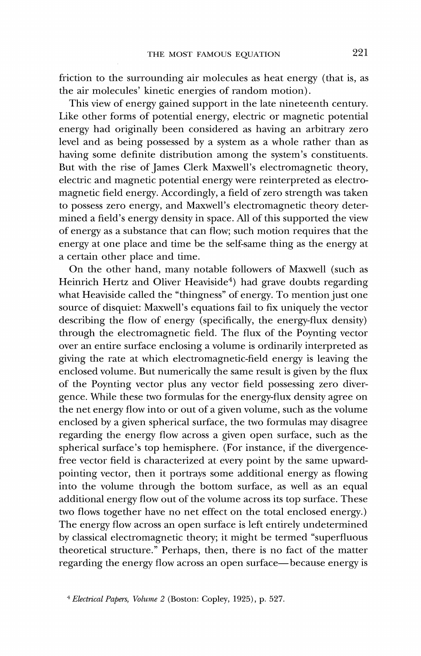**friction to the surrounding air molecules as heat energy (that is, as the air molecules' kinetic energies of random motion).** 

**This view of energy gained support in the late nineteenth century. Like other forms of potential energy, electric or magnetic potential energy had originally been considered as having an arbitrary zero level and as being possessed by a system as a whole rather than as having some definite distribution among the system's constituents. But with the rise of James Clerk Maxwell's electromagnetic theory, electric and magnetic potential energy were reinterpreted as electromagnetic field energy. Accordingly, a field of zero strength was taken to possess zero energy, and Maxwell's electromagnetic theory determined a field's energy density in space. All of this supported the view of energy as a substance that can flow; such motion requires that the energy at one place and time be the self-same thing as the energy at a certain other place and time.** 

**On the other hand, many notable followers of Maxwell (such as**  Heinrich Hertz and Oliver Heaviside<sup>4</sup>) had grave doubts regarding **what Heaviside called the "thingness" of energy. To mention just one source of disquiet: Maxwell's equations fail to fix uniquely the vector describing the flow of energy (specifically, the energy-flux density) through the electromagnetic field. The flux of the Poynting vector over an entire surface enclosing a volume is ordinarily interpreted as giving the rate at which electromagnetic-field energy is leaving the enclosed volume. But numerically the same result is given by the flux of the Poynting vector plus any vector field possessing zero divergence. While these two formulas for the energy-flux density agree on the net energy flow into or out of a given volume, such as the volume enclosed by a given spherical surface, the two formulas may disagree regarding the energy flow across a given open surface, such as the spherical surface's top hemisphere. (For instance, if the divergencefree vector field is characterized at every point by the same upwardpointing vector, then it portrays some additional energy as flowing into the volume through the bottom surface, as well as an equal additional energy flow out of the volume across its top surface. These two flows together have no net effect on the total enclosed energy.) The energy flow across an open surface is left entirely undetermined by classical electromagnetic theory; it might be termed "superfluous theoretical structure." Perhaps, then, there is no fact of the matter regarding the energy flow across an open surface-because energy is** 

**<sup>4</sup> Electrical Papers, Volume 2 (Boston: Copley, 1925), p. 527.**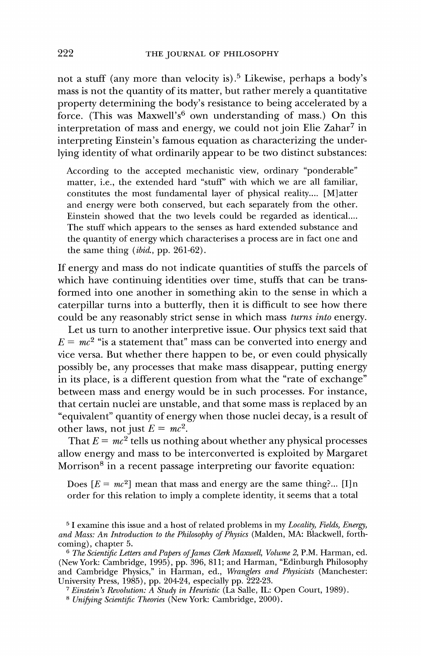**not a stuff (any more than velocity iS).5 Likewise, perhaps a body's mass is not the quantity of its matter, but rather merely a quantitative property determining the body's resistance to being accelerated by a force. (This was Maxwell's6 own understanding of mass.) On this interpretation of mass and energy, we could not join Elie Zahar7 in interpreting Einstein's famous equation as characterizing the underlying identity of what ordinarily appear to be two distinct substances:** 

**According to the accepted mechanistic view, ordinary "ponderable" matter, i.e., the extended hard "stuff' with which we are all familiar, constitutes the most fundamental layer of physical reality.... [M]atter and energy were both conserved, but each separately from the other. Einstein showed that the two levels could be regarded as identical.... The stuff which appears to the senses as hard extended substance and the quantity of energy which characterises a process are in fact one and the same thing (ibid., pp. 261-62).** 

**If energy and mass do not indicate quantities of stuffs the parcels of which have continuing identities over time, stuffs that can be transformed into one another in something akin to the sense in which a caterpillar turns into a butterfly, then it is difficult to see how there could be any reasonably strict sense in which mass turns into energy.** 

**Let us turn to another interpretive issue. Our physics text said that**   $E = mc^2$  "is a statement that" mass can be converted into energy and **vice versa. But whether there happen to be, or even could physically possibly be, any processes that make mass disappear, putting energy in its place, is a different question from what the "rate of exchange" between mass and energy would be in such processes. For instance, that certain nuclei are unstable, and that some mass is replaced by an "equivalent" quantity of energy when those nuclei decay, is a result of**  other laws, not just  $E = mc^2$ .

That  $E = mc^2$  tells us nothing about whether any physical processes **allow energy and mass to be interconverted is exploited by Margaret Morrison8 in a recent passage interpreting our favorite equation:** 

Does  $[E = mc^2]$  mean that mass and energy are the same thing?... [I]n **order for this relation to imply a complete identity, it seems that a total** 

**5 I examine this issue and a host of related problems in my Locality, Fields, Energy, and Mass: An Introduction to the Philosophy of Physics (Malden, MA: Blackwell, forthcoming), chapter 5.** 

<sup>6</sup> The Scientific Letters and Papers of James Clerk Maxwell, Volume 2, P.M. Harman, ed. **(New York: Cambridge, 1995), pp. 396, 811; and Harman, "Edinburgh Philosophy and Cambridge Physics," in Harman, ed., Wranglers and Physicists (Manchester: University Press, 1985), pp. 204-24, especially pp. 222-23.** 

**<sup>7</sup>Einstein's Revolution: A Study in Heuristic (La Salle, IL: Open Court, 1989).** 

**8 Unifying Scientific Theories (New York: Cambridge, 2000).**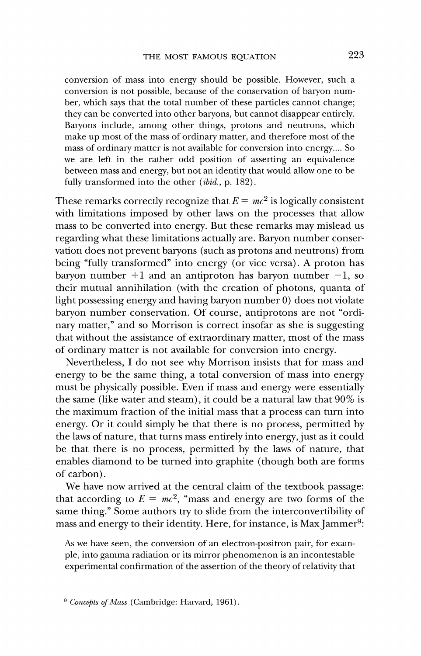**conversion of mass into energy should be possible. However, such a conversion is not possible, because of the conservation of baryon number, which says that the total number of these particles cannot change; they can be converted into other baryons, but cannot disappear entirely. Baryons include, among other things, protons and neutrons, which make up most of the mass of ordinary matter, and therefore most of the mass of ordinary matter is not available for conversion into energy.... So we are left in the rather odd position of asserting an equivalence between mass and energy, but not an identity that would allow one to be**  fully transformed into the other (*ibid.*, p. 182).

These remarks correctly recognize that  $E = mc^2$  is logically consistent **with limitations imposed by other laws on the processes that allow mass to be converted into energy. But these remarks may mislead us regarding what these limitations actually are. Baryon number conservation does not prevent baryons (such as protons and neutrons) from being "fully transformed" into energy (or vice versa). A proton has**  baryon number  $+1$  and an antiproton has baryon number  $-1$ , so **their mutual annihilation (with the creation of photons, quanta of light possessing energy and having baryon number 0) does not violate baryon number conservation. Of course, antiprotons are not "ordinary matter," and so Morrison is correct insofar as she is suggesting that without the assistance of extraordinary matter, most of the mass of ordinary matter is not available for conversion into energy.** 

**Nevertheless, I do not see why Morrison insists that for mass and energy to be the same thing, a total conversion of mass into energy must be physically possible. Even if mass and energy were essentially the same (like water and steam), it could be a natural law that 90% is the maximum fraction of the initial mass that a process can turn into energy. Or it could simply be that there is no process, permitted by**  the laws of nature, that turns mass entirely into energy, just as it could **be that there is no process, permitted by the laws of nature, that enables diamond to be turned into graphite (though both are forms of carbon).** 

**We have now arrived at the central claim of the textbook passage:**  that according to  $E = mc^2$ , "mass and energy are two forms of the **same thing." Some authors try to slide from the interconvertibility of**  mass and energy to their identity. Here, for instance, is Max Jammer<sup>9</sup>:

**As we have seen, the conversion of an electron-positron pair, for example, into gamma radiation or its mirror phenomenon is an incontestable experimental confirmation of the assertion of the theory of relativity that** 

**9 Concepts of Mass (Cambridge: Harvard, 1961).**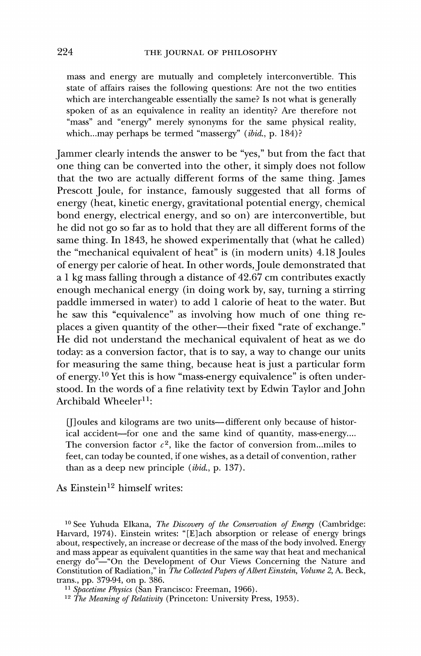**mass and energy are mutually and completely interconvertible. This state of affairs raises the following questions: Are not the two entities which are interchangeable essentially the same? Is not what is generally spoken of as an equivalence in reality an identity? Are therefore not "mass" and "energy" merely synonyms for the same physical reality, which...may perhaps be termed "massergy" (ibid., p. 184)?** 

**Jammer clearly intends the answer to be "yes," but from the fact that one thing can be converted into the other, it simply does not follow that the two are actually different forms of the same thing. James Prescott Joule, for instance, famously suggested that all forms of energy (heat, kinetic energy, gravitational potential energy, chemical bond energy, electrical energy, and so on) are interconvertible, but he did not go so far as to hold that they are all different forms of the same thing. In 1843, he showed experimentally that (what he called) the "mechanical equivalent of heat" is (in modern units) 4.18 Joules of energy per calorie of heat. In other words, Joule demonstrated that a 1 kg mass falling through a distance of 42.67 cm contributes exactly enough mechanical energy (in doing work by, say, turning a stirring paddle immersed in water) to add 1 calorie of heat to the water. But he saw this "equivalence" as involving how much of one thing replaces a given quantity of the other-their fixed "rate of exchange." He did not understand the mechanical equivalent of heat as we do today: as a conversion factor, that is to say, a way to change our units for measuring the same thing, because heat is just a particular form of energy.'0 Yet this is how "mass-energy equivalence" is often understood. In the words of a fine relativity text by Edwin Taylor and John**  Archibald Wheeler<sup>11</sup>:

**(] oules and kilograms are two units- different only because of historical accident-for one and the same kind of quantity, mass-energy....**  The conversion factor  $c^2$ , like the factor of conversion from...miles to **feet, can today be counted, if one wishes, as a detail of convention, rather than as a deep new principle (ibid., p. 137).** 

**As Einstein12 himself writes:** 

**<sup>10</sup>See Yuhuda Elkana, The Discovery of the Conservation of Energy (Cambridge: Harvard, 1974). Einstein writes: "[E] ach absorption or release of energy brings about, respectively, an increase or decrease of the mass of the body involved. Energy and mass appear as equivalent quantities in the same way that heat and mechanical**  energy do<sup>*\**-"On the Development of Our Views Concerning the Nature and</sup> **Constitution of Radiation," in The Collected Papers of Albert Einstein, Volume 2, A. Beck, trans., pp. 379-94, on p. 386.** 

**<sup>11</sup> Spacetime Physics (San Francisco: Freeman, 1966).** 

**<sup>12</sup> The Meaning of Relativity (Princeton: University Press, 1953).**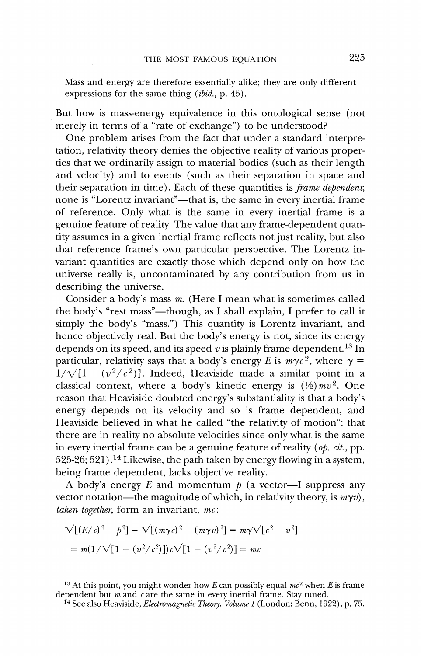**Mass and energy are therefore essentially alike; they are only different expressions for the same thing (ibid., p. 45).** 

**But how is mass-energy equivalence in this ontological sense (not merely in terms of a "rate of exchange") to be understood?** 

**One problem arises from the fact that under a standard interpretation, relativity theory denies the objective reality of various properties that we ordinarily assign to material bodies (such as their length and velocity) and to events (such as their separation in space and their separation in time). Each of these quantities is frame dependent; none is "Lorentz invariant"-that is, the same in every inertial frame of reference. Only what is the same in every inertial frame is a genuine feature of reality. The value that any frame-dependent quantity assumes in a given inertial frame reflects not just reality, but also that reference frame's own particular perspective. The Lorentz invariant quantities are exactly those which depend only on how the universe really is, uncontaminated by any contribution from us in describing the universe.** 

**Consider a body's mass m. (Here I mean what is sometimes called**  the body's "rest mass"—though, as I shall explain, I prefer to call it **simply the body's "mass.") This quantity is Lorentz invariant, and hence objectively real. But the body's energy is not, since its energy depends on its speed, and its speed v is plainly frame dependent.'3 In**  particular, relativity says that a body's energy E is  $m\gamma c^2$ , where  $\gamma =$  $1/\sqrt{[1-(v^2/c^2)]}$ . Indeed, Heaviside made a similar point in a classical context, where a body's kinetic energy is  $(\frac{1}{2})mv^2$ . One **reason that Heaviside doubted energy's substantiality is that a body's energy depends on its velocity and so is frame dependent, and Heaviside believed in what he called "the relativity of motion": that there are in reality no absolute velocities since only what is the same in every inertial frame can be a genuine feature of reality (op. cit., pp. 525-26; 521).14 Likewise, the path taken by energy flowing in a system, being frame dependent, lacks objective reality.** 

A body's energy  $E$  and momentum  $p$  (a vector-I suppress any vector notation—the magnitude of which, in relativity theory, is  $m\gamma v$ , **taken together, form an invariant, mc:** 

$$
\sqrt{\left[(E/c)^2 - p^2\right]} = \sqrt{\left[(m\gamma c)^2 - (m\gamma v)^2\right]} = m\gamma\sqrt{\left[c^2 - v^2\right]}
$$

$$
= m(1/\sqrt{[1 - (v^2/c^2)]})c\sqrt{[1 - (v^2/c^2)]} = mc
$$

<sup>13</sup> At this point, you might wonder how  $E$  can possibly equal  $mc^2$  when  $E$  is frame dependent but m<sup>'</sup> and c are the same in every inertial frame. Stay tuned.

**<sup>14</sup>See also Heaviside, Electromnagnetic Theory, Volume 1 (London: Benn, 1922), p. 75.**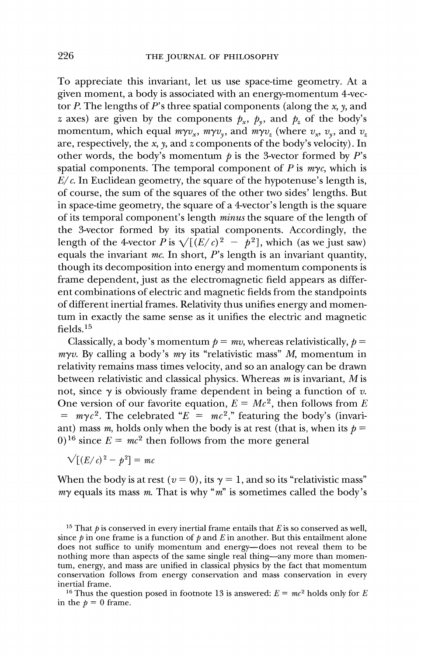**To appreciate this invariant, let us use space-time geometry. At a given moment, a body is associated with an energy-momentum 4-vector P. The lengths of P's three spatial components (along the x, y, and**  z axes) are given by the components  $p_x$ ,  $p_y$ , and  $p_z$  of the body's momentum, which equal  $m\gamma v_x$ ,  $m\gamma v_y$ , and  $m\gamma v_z$  (where  $v_x$ ,  $v_y$ , and  $v_z$ **are, respectively, the x, y, and z components of the body's velocity). In**  other words, the body's momentum  $p$  is the 3-vector formed by  $P$ 's spatial components. The temporal component of  $P$  is  $m\gamma c$ , which is **E/c. In Euclidean geometry, the square of the hypotenuse's length is, of course, the sum of the squares of the other two sides' lengths. But in space-time geometry, the square of a 4-vector's length is the square of its temporal component's length minus the square of the length of the 3-vector formed by its spatial components. Accordingly, the**  length of the 4-vector P is  $\sqrt{\left[ (E/c)^2 - p^2 \right]}$ , which (as we just saw) **equals the invariant mc. In short, P's length is an invariant quantity, though its decomposition into energy and momentum components is frame dependent, just as the electromagnetic field appears as different combinations of electric and magnetic fields from the standpoints of different inertial frames. Relativity thus unifies energy and momentum in exactly the same sense as it unifies the electric and magnetic fields.'5** 

Classically, a body's momentum  $p = mv$ , whereas relativistically,  $p =$  $m\gamma v$ . By calling a body's  $m\gamma$  its "relativistic mass" M, momentum in **relativity remains mass times velocity, and so an analogy can be drawn between relativistic and classical physics. Whereas m is invariant, M is**  not, since  $\gamma$  is obviously frame dependent in being a function of  $v$ . One version of our favorite equation,  $E = Mc^2$ , then follows from  $E$ =  $m\gamma c^2$ . The celebrated " $E = mc^2$ ," featuring the body's (invariant) mass *m*, holds only when the body is at rest (that is, when its  $p =$  $(0)$ <sup>16</sup> since  $E = mc^2$  then follows from the more general

$$
\sqrt{[(E/c)^2 - p^2]} = mc
$$

When the body is at rest ( $v = 0$ ), its  $\gamma = 1$ , and so its "relativistic mass" **my equals its mass m. That is why "m" is sometimes called the body's** 

<sup>&</sup>lt;sup>15</sup> That  $p$  is conserved in every inertial frame entails that  $E$  is so conserved as well, since  $p$  in one frame is a function of  $p$  and  $E$  in another. But this entailment alone **does not suffice to unify momentum and energy-does not reveal them to be nothing more than aspects of the same single real thing-any more than momentum, energy, and mass are unified in classical physics by the fact that momentum conservation follows from energy conservation and mass conservation in every inertial frame.** 

<sup>&</sup>lt;sup>16</sup> Thus the question posed in footnote 13 is answered:  $E = mc^2$  holds only for  $E$ in the  $p = 0$  frame.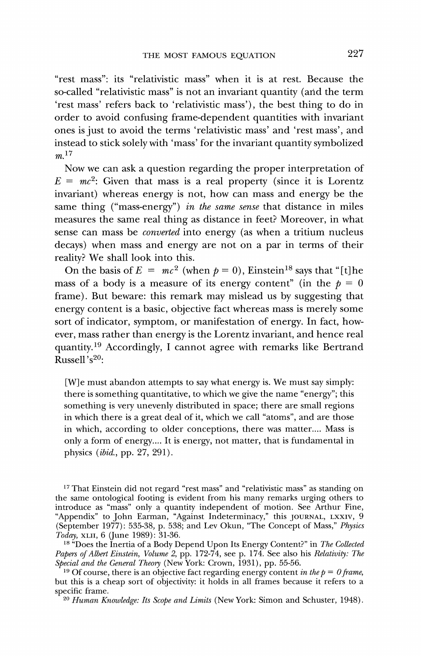**"rest mass": its "relativistic mass" when it is at rest. Because the so-called "relativistic mass" is not an invariant quantity (and the term Crest mass' refers back to 'relativistic mass'), the best thing to do in order to avoid confusing frame-dependent quantities with invariant ones is just to avoid the terms 'relativistic mass' and 'rest mass', and instead to stick solely with 'mass' for the invariant quantity symbolized m.17** 

**Now we can ask a question regarding the proper interpretation of**   $E = mc^2$ : Given that mass is a real property (since it is Lorentz **invariant) whereas energy is not, how can mass and energy be the same thing ("mass-energy") in the same sense that distance in miles measures the same real thing as distance in feet? Moreover, in what sense can mass be converted into energy (as when a tritium nucleus decays) when mass and energy are not on a par in terms of their reality? We shall look into this.** 

On the basis of  $E = mc^2$  (when  $p = 0$ ), Einstein<sup>18</sup> says that "[t]he mass of a body is a measure of its energy content" (in the  $p = 0$ **frame). But beware: this remark may mislead us by suggesting that energy content is a basic, objective fact whereas mass is merely some sort of indicator, symptom, or manifestation of energy. In fact, however, mass rather than energy is the Lorentz invariant, and hence real quantity.19 Accordingly, I cannot agree with remarks like Bertrand Russell 's20:** 

**[W]e must abandon attempts to say what energy is. We must say simply: there is something quantitative, to which we give the name "energy"; this something is very unevenly distributed in space; there are small regions in which there is a great deal of it, which we call "atoms", and are those in which, according to older conceptions, there was matter.... Mass is only a form of energy.... It is energy, not matter, that is fundamental in physics (ibid., pp. 27, 291).** 

**<sup>17</sup>That Einstein did not regard "rest mass" and "relativistic mass" as standing on the same ontological footing is evident from his many remarks urging others to introduce as "mass" only a quantity independent of motion. See Arthur Fine, "Appendix" to John Earman, "Against Indeterminacy," this JOURNAL, LXXIV, 9 (September 1977): 535-38, p. 538; and Lev Okun, "The Concept of Mass," Physics Today, XLII, 6 June 1989): 31-36.** 

**<sup>18</sup>"Does the Inertia of a Body Depend Upon Its Energy Content?" in The Collected**  Papers of Albert Einstein, Volume<sup>'</sup>2, pp. 172-74, see p. 174. See also his Relativity: The **Special and the General Theory (New York: Crown, 1931), pp. 55-56.** 

<sup>&</sup>lt;sup>19</sup> Of course, there is an objective fact regarding energy content *in the*  $p = 0$  *frame*, **but this is a cheap sort of objectivity: it holds in all frames because it refers to a specific frame.** 

**<sup>20</sup> Human Knowledge: Its Scope and Limits (New York: Simon and Schuster, 1948).**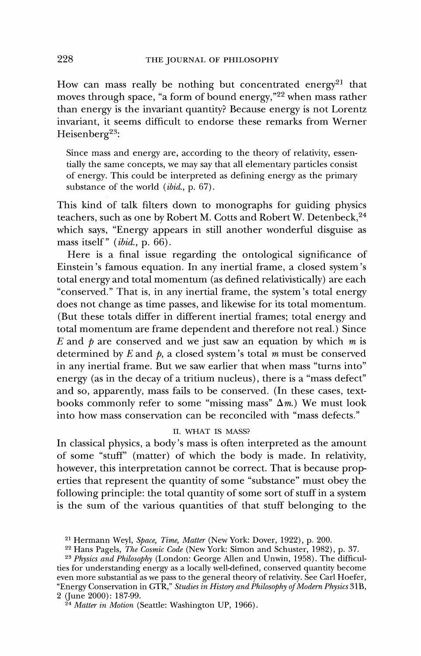How can mass really be nothing but concentrated energy<sup>21</sup> that **moves through space, "a form of bound energy,"22 when mass rather than energy is the invariant quantity? Because energy is not Lorentz invariant, it seems difficult to endorse these remarks from Werner Heisenberg23:** 

**Since mass and energy are, according to the theory of relativity, essentially the same concepts, we may say that all elementary particles consist of energy. This could be interpreted as defining energy as the primary substance of the world (ibid., p. 67).** 

**This kind of talk filters down to monographs for guiding physics teachers, such as one by Robert M. Cotts and Robert W. Detenbeck,24 which says, "Energy appears in still another wonderful disguise as mass itself " (ibid., p. 66).** 

**Here is a final issue regarding the ontological significance of Einstein's famous equation. In any inertial frame, a closed system's total energy and total momentum (as defined relativistically) are each "conserved." That is, in any inertial frame, the system's total energy does not change as time passes, and likewise for its total momentum. (But these totals differ in different inertial frames; total energy and total momentum are frame dependent and therefore not real.) Since**   $E$  and  $p$  are conserved and we just saw an equation by which  $m$  is determined by  $E$  and  $p$ , a closed system's total  $m$  must be conserved **in any inertial frame. But we saw earlier that when mass "turns into" energy (as in the decay of a tritium nucleus), there is a "mass defect" and so, apparently, mass fails to be conserved. (In these cases, text**books commonly refer to some "missing mass"  $\Delta m$ .) We must look **into how mass conservation can be reconciled with "mass defects."** 

### **II. WHAT IS MASS?**

**In classical physics, a body's mass is often interpreted as the amount of some "stuff' (matter) of which the body is made. In relativity, however, this interpretation cannot be correct. That is because properties that represent the quantity of some "substance" must obey the following principle: the total quantity of some sort of stuff in a system is the sum of the various quantities of that stuff belonging to the** 

**23 Physics and Philosophy (London: George Allen and Unwin, 1958). The difficulties for understanding energy as a locally well-defined, conserved quantity become even more substantial as we pass to the general theory of relativity. See Carl Hoefer, "Energy Conservation in GTR," Studies in History and Philosophy of Modern Physics 31B, 2 (June 2000): 187-99.** 

**<sup>21</sup>Hermann Weyl, Space, Time, Matter (New York: Dover, 1922), p. 200.** 

**<sup>22</sup>Hans Pagels, The Cosmic Code (New York: Simon and Schuster, 1982), p. 37.** 

**<sup>24</sup> Matter in Motion (Seattle: Washington UP, 1966).**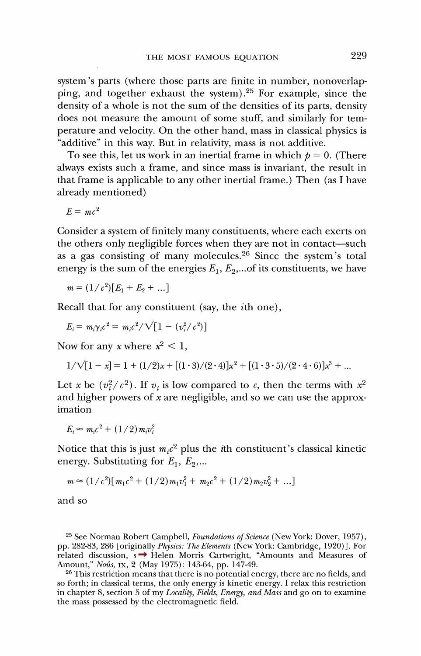**system's parts (where those parts are finite in number, nonoverlapping, and together exhaust the system).25 For example, since the density of a whole is not the sum of the densities of its parts, density does not measure the amount of some stuff, and similarly for temperature and velocity. On the other hand, mass in classical physics is "additive" in this way. But in relativity, mass is not additive.** 

To see this, let us work in an inertial frame in which  $p = 0$ . (There **always exists such a frame, and since mass is invariant, the result in that frame is applicable to any other inertial frame.) Then (as I have already mentioned)** 

$$
E = mc^2
$$

**Consider a system of finitely many constituents, where each exerts on the others only negligible forces when they are not in contact-such as a gas consisting of many molecules.26 Since the system's total**  energy is the sum of the energies  $E_1, E_2, \ldots$  of its constituents, we have

 $m = (1/c^2) [E_1 + E_2 + ...]$ 

**Recall that for any constituent (say, the ith one),** 

$$
E_i = m_i \gamma_i c^2 = m_i c^2 / \sqrt{[1 - (v_i^2/c^2)]}
$$

Now for any x where  $x^2 < 1$ ,

$$
1/\sqrt{[1-x]} = 1 + (1/2)x + [(1\cdot 3)/(2\cdot 4)]x^2 + [(1\cdot 3\cdot 5)/(2\cdot 4\cdot 6)]x^3 + ...
$$

Let x be  $(v_i^2/c^2)$ . If  $v_i$  is low compared to c, then the terms with  $x^2$ **and higher powers of x are negligible, and so we can use the approximation** 

 $E_i \approx m_i c^2 + (1/2) m_i v_i^2$ 

Notice that this is just  $m_i c^2$  plus the *i*th constituent's classical kinetic energy. Substituting for  $E_1, E_2,...$ 

$$
m \approx (1/c^2) [m_1 c^2 + (1/2) m_1 v_1^2 + m_2 c^2 + (1/2) m_2 v_2^2 + ...]
$$

**and so** 

**<sup>25</sup>See Norman Robert Campbell, Foundations of Science (New York: Dover, 1957), pp. 282-83, 286 [originally Physics: The Elements (New York: Cambridge, 1920)]. For**  related discussion, s **+** Helen Morris Cartwright, "Amounts and Measures of **Amount," Nofts, ix, 2 (May 1975): 143-64, pp. 147-49.** 

**<sup>26</sup>This restriction means that there is no potential energy, there are no fields, and so forth; in classical terms, the only energy is kinetic energy. I relax this restriction in chapter 8, section 5 of my Locality, Fields, Energy, and Mass and go on to examine the mass possessed by the electromagnetic field.**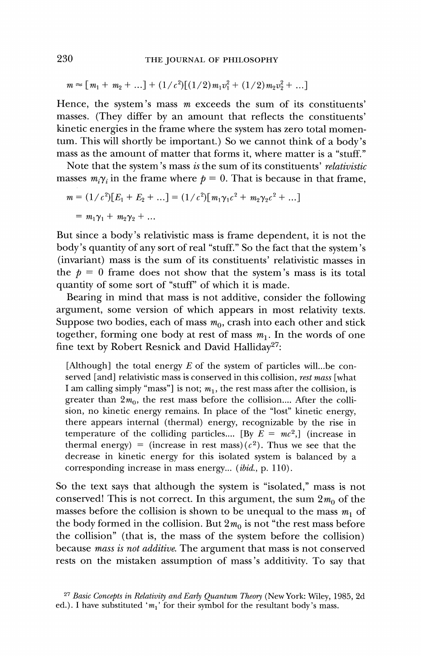$$
m \approx [m_1 + m_2 + ...] + (1/c^2)[(1/2)m_1v_1^2 + (1/2)m_2v_2^2 + ...]
$$

**Hence, the system's mass m exceeds the sum of its constituents' masses. (They differ by an amount that reflects the constituents' kinetic energies in the frame where the system has zero total momentum. This will shortly be important.) So we cannot think of a body's mass as the amount of matter that forms it, where matter is a "stuff."** 

**Note that the system's mass is the sum of its constituents' relativistic**  masses  $m_i \gamma_i$  in the frame where  $p = 0$ . That is because in that frame,

$$
m = (1/c2)[E1 + E2 + ...] = (1/c2)[m1\gamma1c2 + m2\gamma2c2 + ...]
$$
  
= m<sub>1</sub>\gamma<sub>1</sub> + m<sub>2</sub>\gamma<sub>2</sub> + ...

**But since a body's relativistic mass is frame dependent, it is not the body's quantity of any sort of real "stuff." So the fact that the system's (invariant) mass is the sum of its constituents' relativistic masses in**  the  $p = 0$  frame does not show that the system's mass is its total **quantity of some sort of "stuff' of which it is made.** 

**Bearing in mind that mass is not additive, consider the following argument, some version of which appears in most relativity texts.**  Suppose two bodies, each of mass  $m_0$ , crash into each other and stick together, forming one body at rest of mass  $m_1$ . In the words of one **fine text by Robert Resnick and David Halliday27:** 

**[Although] the total energy E of the system of particles will..be conserved [and] relativistic mass is conserved in this collision, rest mass [what**  I am calling simply "mass"] is not;  $m_1$ , the rest mass after the collision, is greater than  $2m_0$ , the rest mass before the collision.... After the colli**sion, no kinetic energy remains. In place of the "lost" kinetic energy, there appears internal (thermal) energy, recognizable by the rise in temperature of the colliding particles....** [By  $E = mc^2$ .] (increase in **thermal energy)** = (increase in rest mass)( $c^2$ ). Thus we see that the **decrease in kinetic energy for this isolated system is balanced by a corresponding increase in mass energy... (ibid., p. 110).** 

**So the text says that although the system is "isolated," mass is not**  conserved! This is not correct. In this argument, the sum  $2m_0$  of the masses before the collision is shown to be unequal to the mass  $m_1$  of the body formed in the collision. But  $2m_0$  is not "the rest mass before **the collision" (that is, the mass of the system before the collision) because mass is not additive. The argument that mass is not conserved rests on the mistaken assumption of mass's additivity. To say that** 

**<sup>27</sup>Basic Concepts in Relativity and Early Quantum Theory (New York: Wiley, 1985, 2d**  ed.). I have substituted ' $m_1$ ' for their symbol for the resultant body's mass.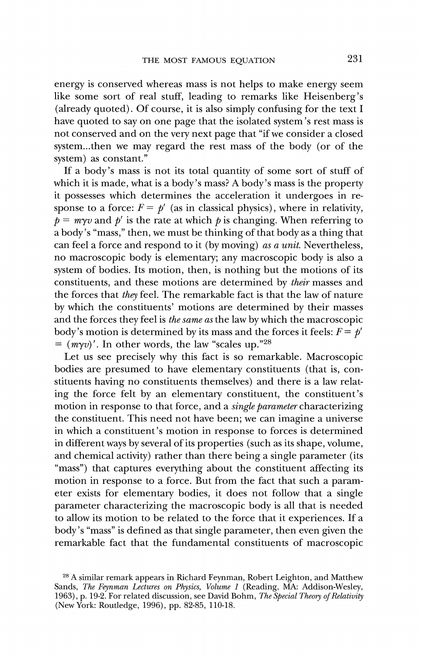**energy is conserved whereas mass is not helps to make energy seem like some sort of real stuff, leading to remarks like Heisenberg's (already quoted). Of course, it is also simply confusing for the text I have quoted to say on one page that the isolated system's rest mass is not conserved and on the very next page that "if we consider a closed system.. .then we may regard the rest mass of the body (or of the system) as constant."** 

**If a body's mass is not its total quantity of some sort of stuff of which it is made, what is a body's mass? A body's mass is the property it possesses which determines the acceleration it undergoes in re**sponse to a force:  $F = p'$  (as in classical physics), where in relativity,  $p = m\gamma v$  and p' is the rate at which p is changing. When referring to **a body's "mass," then, we must be thinking of that body as a thing that can feel a force and respond to it (by moving) as a unit. Nevertheless, no macroscopic body is elementary; any macroscopic body is also a system of bodies. Its motion, then, is nothing but the motions of its constituents, and these motions are determined by their masses and the forces that they feel. The remarkable fact is that the law of nature by which the constituents' motions are determined by their masses and the forces they feel is the same as the law by which the macroscopic**  body's motion is determined by its mass and the forces it feels:  $F = p'$  $=$   $(m\gamma v)'$ . In other words, the law "scales up."<sup>28</sup>

**Let us see precisely why this fact is so remarkable. Macroscopic bodies are presumed to have elementary constituents (that is, constituents having no constituents themselves) and there is a law relating the force felt by an elementary constituent, the constituent's motion in response to that force, and a single parameter characterizing the constituent. This need not have been; we can imagine a universe in which a constituent's motion in response to forces is determined in different ways by several of its properties (such as its shape, volume, and chemical activity) rather than there being a single parameter (its "mass") that captures everything about the constituent affecting its motion in response to a force. But from the fact that such a parameter exists for elementary bodies, it does not follow that a single parameter characterizing the macroscopic body is all that is needed to allow its motion to be related to the force that it experiences. If a body's "mass" is defined as that single parameter, then even given the remarkable fact that the fundamental constituents of macroscopic** 

**<sup>28</sup>A similar remark appears in Richard Feynman, Robert Leighton, and Matthew Sands, The Feynman Lectures on Physics, Volume 1 (Reading, MA: Addison-Wesley, 1963), p. 19-2. For related discussion, see David Bohm, The Special Theory of Relativity (New York: Routledge, 1996), pp. 82-85, 110-18.**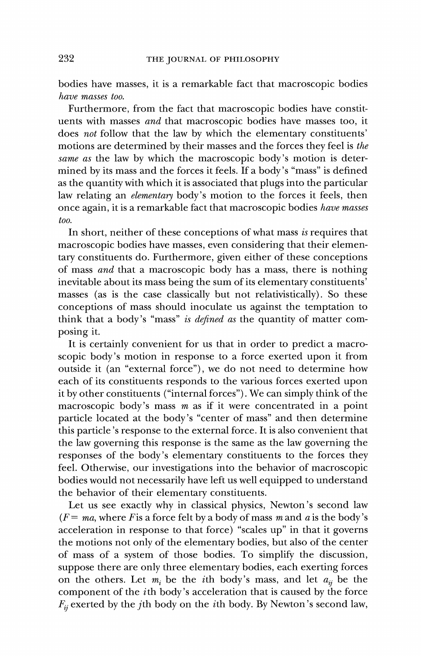**bodies have masses, it is a remarkable fact that macroscopic bodies have masses too.** 

**Furthermore, from the fact that macroscopic bodies have constituents with masses and that macroscopic bodies have masses too, it does not follow that the law by which the elementary constituents' motions are determined by their masses and the forces they feel is the same as the law by which the macroscopic body's motion is determined by its mass and the forces it feels. If a body's "mass" is defined as the quantity with which it is associated that plugs into the particular law relating an elementary body's motion to the forces it feels, then once again, it is a remarkable fact that macroscopic bodies have masses too.** 

**In short, neither of these conceptions of what mass is requires that macroscopic bodies have masses, even considering that their elementary constituents do. Furthermore, given either of these conceptions of mass and that a macroscopic body has a mass, there is nothing inevitable about its mass being the sum of its elementary constituents' masses (as is the case classically but not relativistically). So these conceptions of mass should inoculate us against the temptation to think that a body's "mass" is defined as the quantity of matter composing it.** 

**It is certainly convenient for us that in order to predict a macroscopic body's motion in response to a force exerted upon it from outside it (an "external force"), we do not need to determine how each of its constituents responds to the various forces exerted upon it by other constituents ("internal forces"). We can simply think of the macroscopic body's mass m as if it were concentrated in a point particle located at the body's "center of mass" and then determine this particle 's response to the external force. It is also convenient that the law governing this response is the same as the law governing the responses of the body's elementary constituents to the forces they feel. Otherwise, our investigations into the behavior of macroscopic bodies would not necessarily have left us well equipped to understand the behavior of their elementary constituents.** 

**Let us see exactly why in classical physics, Newton's second law**   $(F= ma,$  where *F* is a force felt by a body of mass *m* and *a* is the body's **acceleration in response to that force) "scales up" in that it governs the motions not only of the elementary bodies, but also of the center of mass of a system of those bodies. To simplify the discussion, suppose there are only three elementary bodies, each exerting forces**  on the others. Let  $m_i$  be the *i*th body's mass, and let  $a_{ii}$  be the **component of the ith body's acceleration that is caused by the force**   $F_{ij}$  exerted by the *j*th body on the *i*th body. By Newton's second law,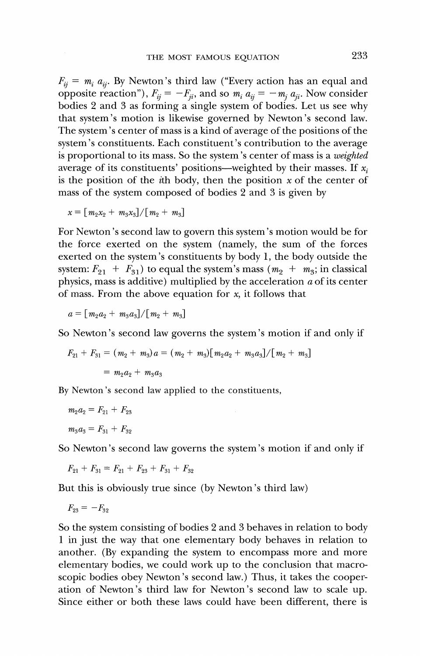$F_{ii} = m_i a_{ii}$ . By Newton's third law ("Every action has an equal and **opposite reaction"),**  $F_{ii} = -F_{ii}$ , and so  $m_i a_{ii} = -m_i a_{ii}$ . Now consider **bodies 2 and 3 as forming a single system of bodies. Let us see why that system's motion is likewise governed by Newton's second law. The system 's center of mass is a kind of average of the positions of the system's constituents. Each constituent's contribution to the average is proportional to its mass. So the system 's center of mass is a weighted**  average of its constituents' positions—weighted by their masses. If  $x_i$ is the position of the *th body, then the position*  $*x*$  *of the center of* **mass of the system composed of bodies 2 and 3 is given by** 

$$
x = [m_2x_2 + m_3x_3]/[m_2 + m_3]
$$

**For Newton's second law to govern this system's motion would be for the force exerted on the system (namely, the sum of the forces exerted on the system's constituents by body 1, the body outside the**  system:  $F_{21} + F_{31}$  to equal the system's mass  $(m_2 + m_3)$ ; in classical **physics, mass is additive) multiplied by the acceleration a of its center of mass. From the above equation for x, it follows that** 

 $a = \frac{m_2a_2 + m_3a_3}{m_2 + m_3}$ 

**So Newton's second law governs the system's motion if and only if** 

$$
F_{21} + F_{31} = (m_2 + m_3)a = (m_2 + m_3)[m_2a_2 + m_3a_3]/[m_2 + m_3]
$$
  
=  $m_2a_2 + m_3a_3$ 

**By Newton's second law applied to the constituents,** 

$$
m_2 a_2 = F_{21} + F_{23}
$$
  

$$
m_3 a_3 = F_{31} + F_{32}
$$

**So Newton's second law governs the system's motion if and only if** 

$$
F_{21} + F_{31} = F_{21} + F_{23} + F_{31} + F_{32}
$$

**But this is obviously true since (by Newton's third law)** 

$$
F_{23} = -F_{32}
$$

**So the system consisting of bodies 2 and 3 behaves in relation to body 1 in just the way that one elementary body behaves in relation to another. (By expanding the system to encompass more and more elementary bodies, we could work up to the conclusion that macroscopic bodies obey Newton's second law.) Thus, it takes the cooperation of Newton's third law for Newton's second law to scale up. Since either or both these laws could have been different, there is**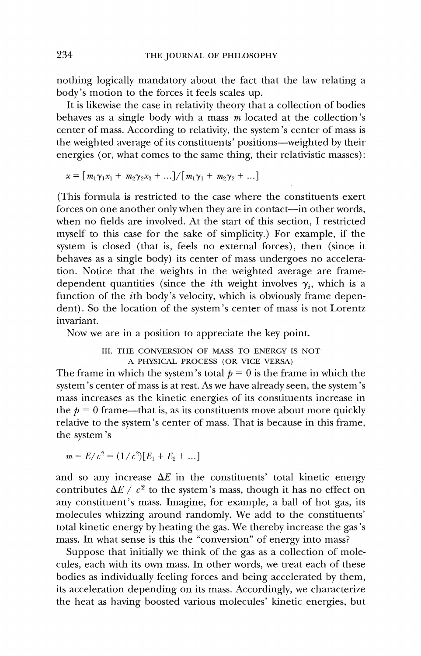**nothing logically mandatory about the fact that the law relating a body's motion to the forces it feels scales up.** 

**It is likewise the case in relativity theory that a collection of bodies behaves as a single body with a mass m located at the collection's center of mass. According to relativity, the system's center of mass is the weighted average of its constituents' positions-weighted by their energies (or, what comes to the same thing, their relativistic masses):** 

 $x = \frac{m_1 \gamma_1 x_1 + m_2 \gamma_2 x_2 + \ldots}{m_1 \gamma_1 + m_2 \gamma_2 + \ldots}$ 

**(This formula is restricted to the case where the constituents exert forces on one another only when they are in contact-in other words, when no fields are involved. At the start of this section, I restricted myself to this case for the sake of simplicity.) For example, if the system is closed (that is, feels no external forces), then (since it behaves as a single body) its center of mass undergoes no acceleration. Notice that the weights in the weighted average are frame**dependent quantities (since the *i*th weight involves  $\gamma_i$ , which is a **function of the ith body's velocity, which is obviously frame dependent). So the location of the system's center of mass is not Lorentz invariant.** 

**Now we are in a position to appreciate the key point.** 

**III. THE CONVERSION OF MASS TO ENERGY IS NOT A PHYSICAL PROCESS (OR VICE VERSA)** 

The frame in which the system's total  $p = 0$  is the frame in which the **system's center of mass is at rest. As we have already seen, the system's mass increases as the kinetic energies of its constituents increase in**  the  $p = 0$  frame—that is, as its constituents move about more quickly **relative to the system's center of mass. That is because in this frame, the system's** 

 $m = E/c^2 = (1/c^2)[E_1 + E_2 + \dots]$ 

and so any increase  $\Delta E$  in the constituents' total kinetic energy contributes  $\Delta E / c^2$  to the system's mass, though it has no effect on **any constituent's mass. Imagine, for example, a ball of hot gas, its molecules whizzing around randomly. We add to the constituents' total kinetic energy by heating the gas. We thereby increase the gas's mass. In what sense is this the "conversion" of energy into mass?** 

**Suppose that initially we think of the gas as a collection of molecules, each with its own mass. In other words, we treat each of these bodies as individually feeling forces and being accelerated by them, its acceleration depending on its mass. Accordingly, we characterize the heat as having boosted various molecules' kinetic energies, but**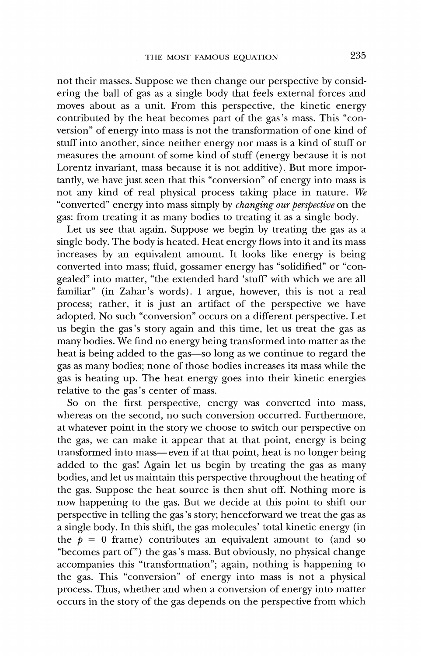**not their masses. Suppose we then change our perspective by considering the ball of gas as a single body that feels external forces and moves about as a unit. From this perspective, the kinetic energy contributed by the heat becomes part of the gas's mass. This "conversion" of energy into mass is not the transformation of one kind of stuff into another, since neither energy nor mass is a kind of stuff or measures the amount of some kind of stuff (energy because it is not Lorentz invariant, mass because it is not additive). But more importantly, we have just seen that this "conversion" of energy into mass is not any kind of real physical process taking place in nature. We "converted" energy into mass simply by changing our perspective on the gas: from treating it as many bodies to treating it as a single body.** 

**Let us see that again. Suppose we begin by treating the gas as a single body. The body is heated. Heat energy flows into it and its mass increases by an equivalent amount. It looks like energy is being converted into mass; fluid, gossamer energy has "solidified" or "congealed" into matter, "the extended hard 'stuff with which we are all familiar" (in Zahar's words). I argue, however, this is not a real process; rather, it is just an artifact of the perspective we have adopted. No such "conversion" occurs on a different perspective. Let us begin the gas's story again and this time, let us treat the gas as many bodies. We find no energy being transformed into matter as the heat is being added to the gas-so long as we continue to regard the gas as many bodies; none of those bodies increases its mass while the gas is heating up. The heat energy goes into their kinetic energies relative to the gas's center of mass.** 

**So on the first perspective, energy was converted into mass, whereas on the second, no such conversion occurred. Furthermore, at whatever point in the story we choose to switch our perspective on the gas, we can make it appear that at that point, energy is being transformed into mass- even if at that point, heat is no longer being added to the gas! Again let us begin by treating the gas as many bodies, and let us maintain this perspective throughout the heating of the gas. Suppose the heat source is then shut off. Nothing more is now happening to the gas. But we decide at this point to shift our perspective in telling the gas's story; henceforward we treat the gas as a single body. In this shift, the gas molecules' total kinetic energy (in**  the  $p = 0$  frame) contributes an equivalent amount to (and so **"becomes part of") the gas's mass. But obviously, no physical change accompanies this "transformation"; again, nothing is happening to the gas. This "conversion" of energy into mass is not a physical process. Thus, whether and when a conversion of energy into matter occurs in the story of the gas depends on the perspective from which**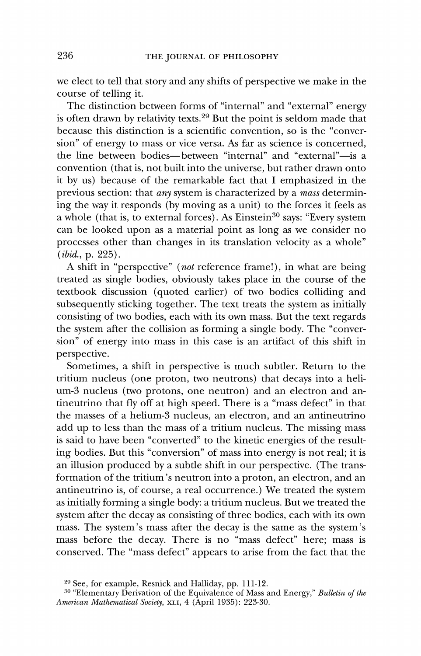**we elect to tell that story and any shifts of perspective we make in the course of telling it.** 

**The distinction between forms of "internal" and "external" energy is often drawn by relativity texts.29 But the point is seldom made that because this distinction is a scientific convention, so is the "conversion" of energy to mass or vice versa. As far as science is concerned, the line between bodies-between "internal" and "external"-is a convention (that is, not built into the universe, but rather drawn onto it by us) because of the remarkable fact that I emphasized in the previous section: that any system is characterized by a mass determining the way it responds (by moving as a unit) to the forces it feels as a whole (that is, to external forces). As Einstein30 says: "Every system can be looked upon as a material point as long as we consider no processes other than changes in its translation velocity as a whole" (ibid., p. 225).** 

**A shift in "perspective" (not reference frame!), in what are being treated as single bodies, obviously takes place in the course of the textbook discussion (quoted earlier) of two bodies colliding and subsequently sticking together. The text treats the system as initially consisting of two bodies, each with its own mass. But the text regards the system after the collision as forming a single body. The "conversion" of energy into mass in this case is an artifact of this shift in perspective.** 

**Sometimes, a shift in perspective is much subtler. Return to the tritium nucleus (one proton, two neutrons) that decays into a helium-3 nucleus (two protons, one neutron) and an electron and antineutrino that fly off at high speed. There is a "mass defect" in that the masses of a helium-3 nucleus, an electron, and an antineutrino add up to less than the mass of a tritium nucleus. The missing mass is said to have been "converted" to the kinetic energies of the resulting bodies. But this "conversion" of mass into energy is not real; it is an illusion produced by a subtle shift in our perspective. (The transformation of the tritium's neutron into a proton, an electron, and an antineutrino is, of course, a real occurrence.) We treated the system as initially forming a single body: a tritium nucleus. But we treated the system after the decay as consisting of three bodies, each with its own mass. The system's mass after the decay is the same as the system's mass before the decay. There is no "mass defect" here; mass is conserved. The "mass defect" appears to arise from the fact that the** 

**<sup>29</sup>See, for example, Resnick and Halliday, pp. 111-12.** 

**<sup>30</sup>"Elementary Derivation of the Equivalence of Mass and Energy," Bulletin of the American Mathematical Society, XLI, 4 (April 1935): 223-30.**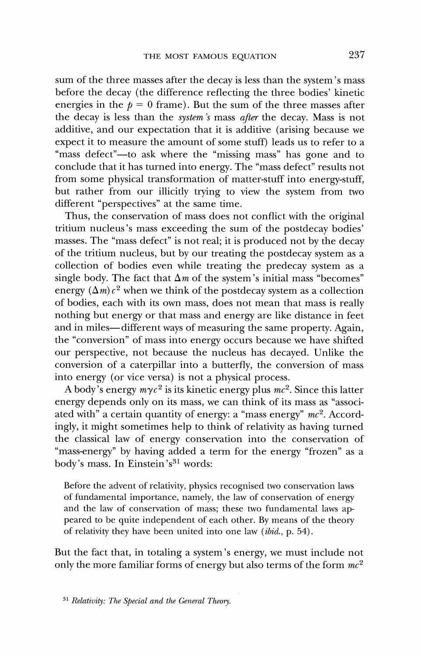**sum of the three masses after the decay is less than the system 's mass before the decay (the difference reflecting the three bodies' kinetic**  energies in the  $p = 0$  frame). But the sum of the three masses after **the decay is less than the system's mass after the decay. Mass is not additive, and our expectation that it is additive (arising because we expect it to measure the amount of some stuff) leads us to refer to a**  "mass defect"—to ask where the "missing mass" has gone and to **conclude that it has turned into energy. The "mass defect" results not from some physical transformation of matter-stuff into energy-stuff, but rather from our illicitly trying to view the system from two different "perspectives" at the same time.** 

**Thus, the conservation of mass does not conflict with the original tritium nucleus's mass exceeding the sum of the postdecay bodies' masses. The "mass defect" is not real; it is produced not by the decay of the tritium nucleus, but by our treating the postdecay system as a collection of bodies even while treating the predecay system as a**  single body. The fact that  $\Delta m$  of the system's initial mass "becomes" energy  $(\Delta m) c^2$  when we think of the postdecay system as a collection **of bodies, each with its own mass, does not mean that mass is really nothing but energy or that mass and energy are like distance in feet and in miles- different ways of measuring the same property. Again, the "conversion" of mass into energy occurs because we have shifted our perspective, not because the nucleus has decayed. Unlike the conversion of a caterpillar into a butterfly, the conversion of mass into energy (or vice versa) is not a physical process.** 

A body's energy  $m\gamma c^2$  is its kinetic energy plus  $mc^2$ . Since this latter **energy depends only on its mass, we can think of its mass as "associ**ated with" a certain quantity of energy: a "mass energy" mc<sup>2</sup>. Accord**ingly, it might sometimes help to think of relativity as having turned the classical law of energy conservation into the conservation of "mass-energy" by having added a term for the energy "frozen" as a body's mass. In Einstein's 31 words:** 

**Before the advent of relativity, physics recognised two conservation laws of fundamental importance, namely, the law of conservation of energy and the law of conservation of mass; these two fundamental laws appeared to be quite independent of each other. By means of the theory of relativity they have been united into one law (ibid., p. 54).** 

**But the fact that, in totaling a system's energy, we must include not only the more familiar forms of energy but also terms of the form mc2** 

**<sup>31</sup> Relativity: The Special and the General Theory.**